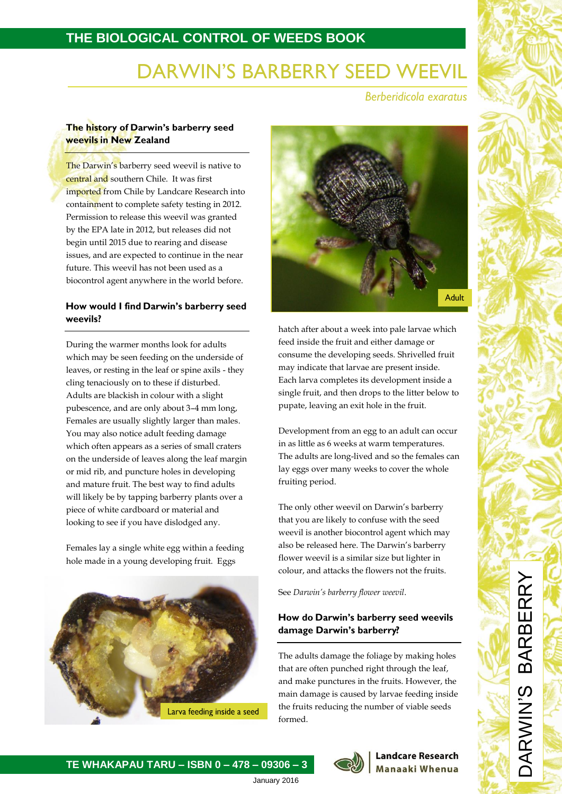# **THE BIOLOGICAL CONTROL OF WEEDS BOOK**

# **DARWIN'S BARBERRY SEED WEEVIL**

**Berberidicola exaratus** 

### The history of Darwin's barberry seed **weevils in New Zealand**

The Darwin's barberry seed weevil is native to central and southern Chile. It was first imported from Chile by Landcare Research into containment to complete safety testing in 2012. Permission to release this weevil was granted by the EPA late in 2012, but releases did not begin until 2015 due to rearing and disease issues, and are expected to continue in the near future. This weevil has not been used as a biocontrol agent anywhere in the world before.

### How would I find Darwin's barberry seed weevils?

During the warmer months look for adults which may be seen feeding on the underside of leaves, or resting in the leaf or spine axils - they cling tenaciously on to these if disturbed. Adults are blackish in colour with a slight pubescence, and are only about 3–4 mm long, Females are usually slightly larger than males. You may also notice adult feeding damage which often appears as a series of small craters on the underside of leaves along the leaf margin or mid rib, and puncture holes in developing and mature fruit. The best way to find adults will likely be by tapping barberry plants over a piece of white cardboard or material and looking to see if you have dislodged any.

Females lay a single white egg within a feeding hole made in a young developing fruit. Eggs





hatch after about a week into pale larvae which feed inside the fruit and either damage or consume the developing seeds. Shrivelled fruit may indicate that larvae are present inside. Each larva completes its development inside a single fruit, and then drops to the litter below to pupate, leaving an exit hole in the fruit.

Development from an egg to an adult can occur in as little as 6 weeks at warm temperatures. The adults are long-lived and so the females can lay eggs over many weeks to cover the whole fruiting period.

The only other weevil on Darwin's barberry that you are likely to confuse with the seed weevil is another biocontrol agent which may also be released here. The Darwin's barberry flower weevil is a similar size but lighter in colour, and attacks the flowers not the fruits.

See *Darwin's barberry flower weevil*.

### How do Darwin's barberry seed weevils damage Darwin's barberry?

The adults damage the foliage by making holes that are often punched right through the leaf, and make punctures in the fruits. However, the main damage is caused by larvae feeding inside the fruits reducing the number of viable seeds formed.

**TE WHAKAPAU TARU – ISBN 0 – 478 – 09306 – 3**

January 2016

### **Landcare Research Manaaki Whenua**